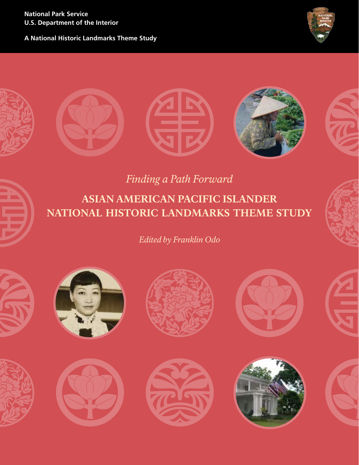**National Park Service U.S. Department of the Interior**

**A National Historic Landmarks Theme Study**





*Finding a Path Forward*

ASIAN AMERICAN PACIFIC ISLANDER NATIONAL HISTORIC LANDMARKS THEME STUDY

*Edited by Franklin Odo*















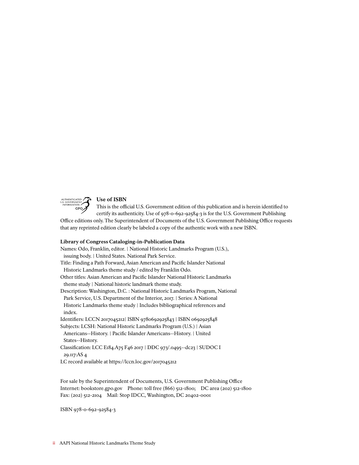

## Use of ISBN

This is the official U.S. Government edition of this publication and is herein identified to GPO<sub>2</sub> certify its authenticity. Use of 978-0-692-92584-3 is for the U.S. Government Publishing

Office editions only. The Superintendent of Documents of the U.S. Government Publishing Office requests that any reprinted edition clearly be labeled a copy of the authentic work with a new ISBN.

#### Library of Congress Cataloging-in-Publication Data

Names: Odo, Franklin, editor. | National Historic Landmarks Program (U.S.), issuing body. | United States. National Park Service. Title: Finding a Path Forward, Asian American and Pacific Islander National Historic Landmarks theme study / edited by Franklin Odo. Other titles: Asian American and Pacific Islander National Historic Landmarks theme study | National historic landmark theme study. Description: Washington, D.C. : National Historic Landmarks Program, National Park Service, U.S. Department of the Interior, 2017. | Series: A National Historic Landmarks theme study | Includes bibliographical references and index. Identifiers: LCCN 2017045212| ISBN 9780692925843 | ISBN 0692925848 Subjects: LCSH: National Historic Landmarks Program (U.S.) | Asian Americans--History. | Pacific Islander Americans--History. | United States--History. Classification: LCC E184.A75 F46 2017 | DDC 973/.0495--dc23 | SUDOC I 29.117:AS 4 LC record available at <https://lccn.loc.gov/2017045212>

For sale by the Superintendent of Documents, U.S. Government Publishing Office Internet: bookstore.gpo.gov Phone: toll free (866) 512-1800; DC area (202) 512-1800 Fax: (202) 512-2104 Mail: Stop IDCC, Washington, DC 20402-0001

ISBN 978-0-692-92584-3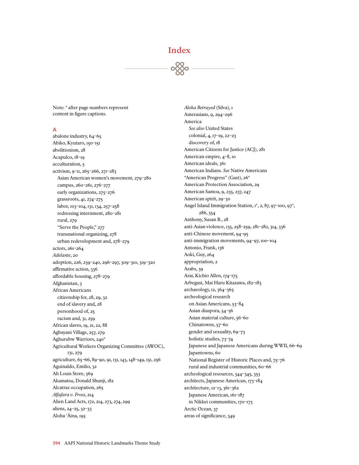# Index

Note: \* after page numbers represent content in figure captions.

#### **A**

abalone industry, 64–65 Abiko, Kyutaro, 150–151 abolitionism, 28 Acapulco, 18–19 acculturation, 5 activism, 9–11, 265–266, 271–283 Asian American women's movement, 279–280 campus, 260–261, 276–277 early organizations, 275–276 grassroots, 41, 274–275 labor, 103–104, 131, 134, 257–258 redressing internment, 280–281 rural, 279 "Serve the People," 277 transnational organizing, 278 urban redevelopment and, 278–279 actors, 261–264 *Adelante*, 20 adoption, 226, 239–240, 296–297, 309–310, 319–320 affirmative action, 336 affordable housing, 278–279 Afghanistan, 3 African Americans citizenship for, 28, 29, 32 end of slavery and, 28 personhood of, 25 racism and, 31, 259 African slaves, 19, 21, 22, 88 Agbayani Village, 257, 279 Aghurubw Warriors, 240\* Agricultural Workers Organizing Committee (AWOC), 131, 279 agriculture, 65–66, 89–90, 91, 131, 143, 148–149, 151, 256 Aguinaldo, Emilio, 32 Ah Louis Store, 369 Akamatsu, Donald Shunji, 182 Alcatraz occupation, 265 *Alfafara v. Fross*, 214 Alien Land Acts, 172, 214, 273, 274, 299 aliens, 24–25, 32–33 Aloha 'Âina, 195

*Aloha Betrayed* (Silva), 1 Amerasians, 9, 294–296 America *See also* United States colonial, 4, 17–19, 22–23 discovery of, 18 American Citizens for Justice (ACJ), 281 American empire, 4–8, 10 American ideals, 361 American Indians. *See* Native Americans "American Progress" (Gast), 26\* American Protection Association, 29 American Samoa, 9, 235, 237, 247 American spirit, 29–30 Angel Island Immigration Station, 1\*, 2, 87, 97-100, 97\*, 286, 354 Anthony, Susan B., 28 anti-Asian violence, 135, 258–259, 281–282, 314, 336 anti-Chinese movement, 94–95 anti-immigration movements, 94–97, 100–104 Antonio, Frank, 136 Aoki, Guy, 264 appropriation, 2 Arabs, 39 Arai, Kichio Allen, 174–175 Arbegast, Mai Haru Kitazawa, 182–183 archaeology, 12, 364–365 archeological research on Asian Americans, 53–84 Asian diaspora, 54–56 Asian material culture, 56–60 Chinatowns, 57–60 gender and sexuality, 69–73 holistic studies, 73–74 Japanese and Japanese Americans during WWII, 66–69 Japantowns, 60 National Register of Historic Places and, 75–76 rural and industrial communities, 60–66 archeological resources, 344–345, 353 architects, Japanese American, 173–184 architecture, 12–13, 361–362 Japanese American, 161–187 in Nikkei communities, 170–173 Arctic Ocean, 37 areas of significance, 349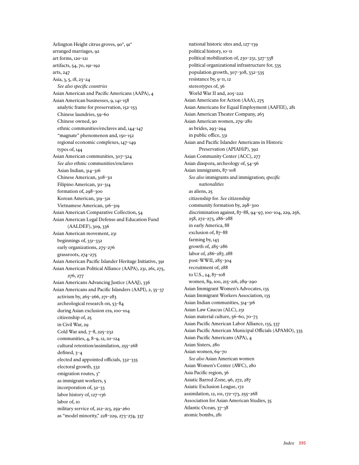Arlington Height citrus groves, 90\*, 91\*<br>arranged marriages, 92 arranged marriages, 92 art forms, 120–121 artifacts, 54, 70, 191–192 arts, 247 Asia, 3, 5, 18, 23–24 *See also specific countries* Asian American and Pacific Americans (AAPA), 4 Asian American businesses, 9, 141–158 analytic frame for preservation, 152–153 Chinese laundries, 59–60 Chinese owned, 90 ethnic communities/enclaves and, 144–147 "magnate" phenomenon and, 150–152 regional economic complexes, 147–149 types of, 144 Asian American communities, 307–324 *See also* ethnic communities/enclaves Asian Indian, 314–316 Chinese American, 308–311 Filipino American, 311–314 formation of, 298–300 Korean American, 319–321 Vietnamese American, 316–319 Asian American Comparative Collection, 54 Asian American Legal Defense and Education Fund (AALDEF), 309, 336 Asian American movement, 231 beginnings of, 331–332 early organizations, 275–276 grassroots, 274–275 Asian American Pacific Islander Heritage Initiative, 391 Asian American Political Alliance (AAPA), 231, 261, 275, 276, 277 Asian Americans Advancing Justice (AAAJ), 336 Asian Americans and Pacific Islanders (AAPI), 2, 35–37 activism by, 265–266, 271–283 archeological research on, 53–84 during Asian exclusion era, 100–104 citizenship of, 25 in Civil War, 29 Cold War and, 7–8, 225–232 communities, 4, 8–9, 12, 111–124 cultural retention/assimilation, 255–268 defined, 3–4 elected and appointed officials, 332–335 electoral growth, 332 emigration routes,  $3^*$ as immigrant workers, 5 incorporation of, 32–33 labor history of, 127–136 labor of, 10 military service of, 212–213, 259–260 as "model minority," 228–229, 273–274, 337

national historic sites and, 127–139 political history, 10–11 political mobilization of, 230–231, 327–338 political organizational infrastructure for, 335 population growth, 307–308, 332–335 resistance by, 9–11, 12 stereotypes of, 36 World War II and, 205–222 Asian Americans for Action (AAA), 275 Asian Americans for Equal Employment (AAFEE), 281 Asian American Theater Company, 263 Asian American women, 279–280 as brides, 293–294 in public office, 331 Asian and Pacific Islander Americans in Historic Preservation (APIAHiP), 392 Asian Community Center (ACC), 277 Asian diaspora, archeology of, 54–56 Asian immigrants, 87–108 *See also* immigrants and immigration; *specific nationalities* as aliens, 25 citizenship for. *See* citizenship community formation by, 298–300 discrimination against, 87–88, 94–97, 100–104, 229, 256, 258, 272–273, 286–288 in early America, 88 exclusion of, 87–88 farming by, 143 growth of, 285–286 labor of, 286–287, 288 post-WWII, 285-304 recruitment of, 288 to U.S., 24, 87–108 women, 89, 100, 215–216, 289–290 Asian Immigrant Women's Advocates, 135 Asian Immigrant Workers Association, 135 Asian Indian communities, 314–316 Asian Law Caucus (ALC), 231 Asian material culture, 56–60, 70–73 Asian Pacific American Labor Alliance, 135, 337 Asian Pacific American Municipal Officials (APAMO), 335 Asian Pacific Americans (APA), 4 Asian Sisters, 280 Asian women, 69–70 *See also* Asian American women Asian Women's Center (AWC), 280 Asia Pacific region, 36 Asiatic Barred Zone, 96, 272, 287 Asiatic Exclusion League, 172 assimilation, 12, 101, 172–173, 255–268 Association for Asian American Studies, 35 Atlantic Ocean, 37–38 atomic bombs, 281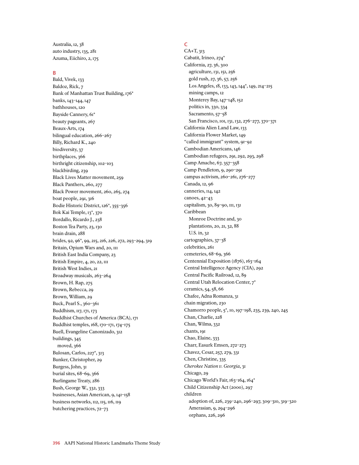Australia, 12, 38 auto industry, 135, 281 Azuma, Eiichiro, 2, 175

#### **B**

Bald, Vivek, 133 Baldoz, Rick, 7 Bank of Manhattan Trust Building, 176\* banks, 143–144, 147 bathhouses, 120 Bayside Cannery, 61\* beauty pageants, 267 Beaux-Arts, 174 bilingual education, 266–267 Billy, Richard K., 240 biodiversity, 37 birthplaces, 366 birthright citizenship, 102–103 blackbirding, 239 Black Lives Matter movement, 259 Black Panthers, 260, 277 Black Power movement, 260, 265, 274 boat people, 291, 316 Bodie Historic District, 126\*, 355–356 Bok Kai Temple, 13\*, 370 Bordallo, Ricardo J., 238 Boston Tea Party, 23, 130 brain drain, 288 brides, 92, 96\*, 99, 215, 216, 226, 272, 293–294, 319 Britain, Opium Wars and, 20, III British East India Company, 23 British Empire, 4, 20, 22, 111 British West Indies, 21 Broadway musicals, 263–264 Brown, H. Rap, 275 Brown, Rebecca, 29 Brown, William, 29 Buck, Pearl S., 360–361 Buddhism, 117, 171, 173 Buddhist Churches of America (BCA), 171 Buddhist temples, 168, 170–171, 174–175 Buell, Evangeline Canonizado, 312 buildings, 345 moved, 366 Bulosan, Carlos, 227\*, 313 Bunker, Christopher, 29 Burgess, John, 31 burial sites, 68–69, 366 Burlingame Treaty, 286 Bush, George W., 332, 333 businesses, Asian American, 9, 141–158 business networks, 112, 115, 116, 119 butchering practices, 72–73

# **C**

CA+T, 313 Cabatit, Irineo, 274\* California, 27, 36, 300 agriculture, 131, 151, 256 gold rush, 27, 36, 57, 256 Los Angeles, 18, 133, 143, 144\*, 149, 214–215 mining camps, 12 Monterey Bay, 147–148, 152 politics in, 330, 334 Sacramento, 57–58 San Francisco, 101, 131, 132, 276–277, 370–371 California Alien Land Law, 133 California Flower Market, 149 "called immigrant" system, 91–92 Cambodian Americans, 146 Cambodian refugees, 291, 292, 293, 298 Camp Amache, 67, 357–358 Camp Pendleton, 9, 290–291 campus activism, 260–261, 276–277 Canada, 12, 96 canneries, 114, 142 canoes, 42–43 capitalism, 30, 89–90, 111, 131 Caribbean Monroe Doctrine and, 30 plantations, 20, 21, 32, 88 U.S. in, 32 cartographies, 37–38 celebrities, 261 cemeteries, 68–69, 366 Centennial Exposition (1876), 163–164 Central Intelligence Agency (CIA), 292 Central Pacific Railroad, 12, 89 Central Utah Relocation Center, 7\* ceramics, 54, 58, 66 Chafee, Adna Romanza, 31 chain migration, 230 Chamorro people, 5\*, 10, 197–198, 235, 239, 240, 245 Chan, Charlie, 228 Chan, Wilma, 332 chants, 191 Chao, Elaine, 333 Charr, Easurk Emsen, 272–273 Chavez, Cesar, 257, 279, 331 Chen, Christine, 335 *Cherokee Nation v. Georgia*, 31 Chicago, 29 Chicago World's Fair, 163-164, 164\* Child Citizenship Act (2000), 297 children adoption of, 226, 239–240, 296–297, 309–310, 319–320 Amerasian, 9, 294–296 orphans, 226, 296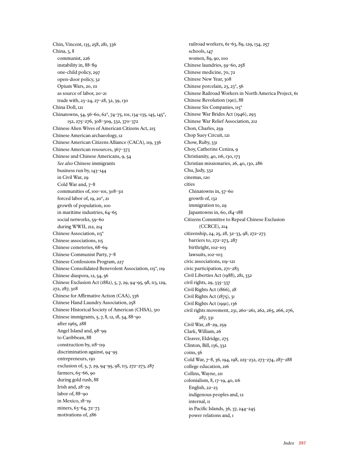Chin, Vincent, 135, 258, 281, 336 China, 3, 8 communist, 226 instability in, 88–89 one-child policy, 297 open-door policy, 32 Opium Wars, 20, 111 as source of labor, 20–21 trade with, 23–24, 27–28, 32, 39, 130 China Doll, 121 Chinatowns, 54, 56–60, 62\*, 74–75, 101, 134–135, 145, 145\*, 152, 275–276, 308–309, 332, 370–372 Chinese Alien Wives of American Citizens Act, 215 Chinese American archaeology, 12 Chinese American Citizens Alliance (CACA), 119, 336 Chinese American resources, 367–373 Chinese and Chinese Americans, 9, 54 *See also* Chinese immigrants business run by, 143–144 in Civil War, 29 Cold War and, 7–8 communities of, 100–101, 308–311 forced labor of, 19, 20\*, 21 growth of population, 100 in maritime industries, 64–65 social networks, 59–60 during WWII, 212, 214 Chinese Association, 115\* Chinese associations, 115 Chinese cemeteries, 68–69 Chinese Communist Party, 7–8 Chinese Confessions Program, 227 Chinese Consolidated Benevolent Association, 115\*, 119 Chinese diaspora, 12, 54, 56 Chinese Exclusion Act (1882), 5, 7, 29, 94–95, 98, 113, 129, 272, 287, 308 Chinese for Affirmative Action (CAA), 336 Chinese Hand Laundry Association, 258 Chinese Historical Society of American (CHSA), 310 Chinese immigrants, 5, 7, 8, 12, 18, 54, 88–90 after 1965, 288 Angel Island and, 98–99 to Caribbean, 88 construction by,  $118 - 119$ discrimination against, 94–95 entrepreneurs, 150 exclusion of, 5, 7, 29, 94–95, 98, 113, 272–273, 287 farmers, 65–66, 90 during gold rush, 88 Irish and, 28–29 labor of, 88–90 in Mexico, 18–19 miners, 63–64, 72–73 motivations of, 286

railroad workers, 61–63, 89, 129, 134, 257 schools, 147 women, 89, 90, 100 Chinese laundries, 59–60, 258 Chinese medicine, 70, 72 Chinese New Year, 308 Chinese porcelain, 23, 23\*, 56 Chinese Railroad Workers in North America Project, 61 Chinese Revolution (1911), 88 Chinese Six Companies, 115\* Chinese War Brides Act (1946), 293 Chinese War Relief Association, 212 Chon, Charles, 259 Chop Suey Circuit, 121 Chow, Ruby, 331 Choy, Catherine Ceniza, 9 Christianity, 40, 116, 130, 173 Christian missionaries, 26, 40, 130, 286 Chu, Judy, 332 cinemas, 120 cities Chinatowns in, 57–60 growth of, 132 immigration to, 29 Japantowns in, 60, 184–188 Citizens Committee to Repeal Chinese Exclusion (CCRCE), 214 citizenship, 24, 25, 28, 32–33, 98, 272–273 barriers to, 272–273, 287 birthright, 102–103 lawsuits, 102–103 civic associations, 119–121 civic participation, 271–283 Civil Liberties Act (1988), 281, 332 civil rights, 29, 335–337 Civil Rights Act (1866), 28 Civil Rights Act (1875), 31 Civil Rights Act (1991), 136 civil rights movement, 231, 260–261, 262, 265, 266, 276, 287, 331 Civil War, 28–29, 259 Clark, William, 26 Cleaver, Eldridge, 275 Clinton, Bill, 136, 332 coins, 56 Cold War, 7–8, 36, 194, 198, 225–232, 273–274, 287–288 college education, 216 Collins, Wayne, 211 colonialism, 8, 17–19, 40, 116 English, 22–23 indigenous peoples and, 12 internal, 11 in Pacific Islands, 36, 37, 244–245 power relations and, 1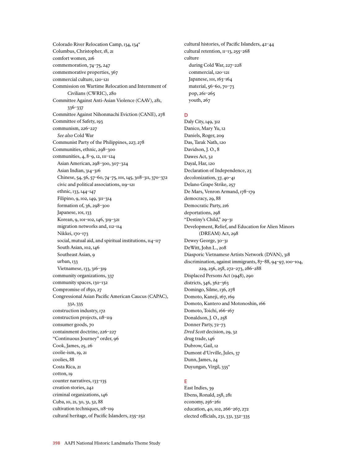Colorado River Relocation Camp, 134, 134\* Columbus, Christopher, 18, 21 comfort women, 216 commemoration, 74–75, 247 commemorative properties, 367 commercial culture, 120–121 Commission on Wartime Relocation and Internment of Civilians (CWRIC), 280 Committee Against Anti-Asian Violence (CAAV), 281, 336–337 Committee Against Nihonmachi Eviction (CANE), 278 Committee of Safety, 193 communism, 226–227 *See also* Cold War Communist Party of the Philippines, 227, 278 Communities, ethnic, 298–300 communities, 4, 8–9, 12, 111–124 Asian American, 298–300, 307–324 Asian Indian, 314–316 Chinese, 54, 56, 57–60, 74–75, 101, 145, 308–311, 370–372 civic and political associations, 119–121 ethnic, 133, 144–147 Filipino, 9, 102, 149, 311–314 formation of, 36, 298–300 Japanese, 101, 133 Korean, 9, 101–102, 146, 319–321 migration networks and, 112–114 Nikkei, 170–173 social, mutual aid, and spiritual institutions,  $\text{II}_4$ - $\text{II}_7$ South Asian, 102, 146 Southeast Asian, 9 urban, 133 Vietnamese, 133, 316–319 community organizations, 337 community spaces, 130–132 Compromise of 1850, 27 Congressional Asian Pacific American Caucus (CAPAC), 332, 335 construction industry, 172 construction projects, 118–119 consumer goods, 70 containment doctrine, 226–227 "Continuous Journey" order, 96 Cook, James, 25, 26 coolie-ism, 19, 21 coolies, 88 Costa Rica, 21 cotton, 19 counter narratives, 133–135 creation stories, 242 criminal organizations, 146 Cuba, 10, 21, 30, 31, 32, 88 cultivation techniques,  $118$ <sup>-119</sup> cultural heritage, of Pacific Islanders, 235–252

cultural histories, of Pacific Islanders, 42–44 cultural retention, 11–13, 255–268 culture during Cold War, 227–228 commercial, 120–121 Japanese, 101, 163–164 material, 56–60, 70–73 pop, 261–265 youth, 267

## **D**

Daly City, 149, 312 Danico, Mary Yu, 12 Daniels, Roger, 209 Das, Tarak Nath, 120 Davidson, J.O., 8 Dawes Act, 32 Dayal, Har, 120 Declaration of Independence, 23 decolonization, 37, 40–41 Delano Grape Strike, 257 De Mars, Venron Armand, 178–179 democracy, 29, 88 Democratic Party, 216 deportations, 298 "Destiny's Child," 29–31 Development, Relief, and Education for Alien Minors (DREAM) Act, 298 Dewey George, 30–31 DeWitt, John L., 208 Diasporic Vietnamese Artists Network (DVAN), 318 discrimination, against immigrants, 87–88, 94–97, 100–104, 229, 256, 258, 272–273, 286–288 Displaced Persons Act (1948), 290 districts, 346, 362–363 Domingo, Silme, 136, 278 Domoto, Kaneji, 167, 169 Domoto, Kantero and Motonoshin, 166 Domoto, Toichi, 166–167 Donaldson, J. O., 258 Donner Party, 72–73 *Dred Scott* decision, 29, 32 drug trade, 146 Dubrow, Gail, 12 Dumont d'Urville, Jules, 37 Dunn, James, 24 Duyungan, Virgil, 335\*

# **E**

East Indies, 39 Ebens, Ronald, 258, 281 economy, 256–261 education, 40, 102, 266–267, 272 elected officials, 231, 331, 332–335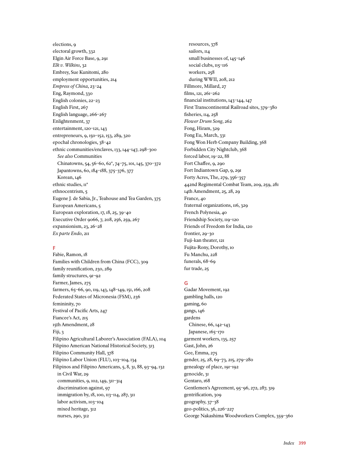elections, 9 electoral growth, 332 Elgin Air Force Base, 9, 291 *Elk v. Wilkins*, 32 Embrey, Sue Kunitomi, 280 employment opportunities, 214 *Empress of China*, 23–24 Eng, Raymond, 330 English colonies, 22–23 English First, 267 English language, 266–267 Enlightenment, 37 entertainment, 120–121, 143 entrepreneurs, 9, 150–152, 153, 289, 320 epochal chronologies, 38–42 ethnic communities/enclaves, 133, 144–147, 298–300 *See also* Communities Chinatowns, 54, 56–60, 62\*, 74–75, 101, 145, 370–372 Japantowns, 60, 184–188, 375–376, 377 Korean, 146 ethnic studies,  $II^*$ ethnocentrism, 5 Eugene J. de Sabia, Jr., Teahouse and Tea Garden, 375 European Americans, 5 European exploration, 17, 18, 25, 39–40 Executive Order 9066, 7, 208, 256, 259, 267 expansionism, 23, 26–28 *Ex parte Endo*, 211

## **F**

Fabie, Ramon, 18 Families with Children from China (FCC), 309 family reunification, 230, 289 family structures, 91-92 Farmer, James, 275 farmers, 65–66, 90, 119, 143, 148–149, 151, 166, 208 Federated States of Micronesia (FSM), 236 femininity, 70 Festival of Pacific Arts, 247 Fiancee's Act, 215 15th Amendment, 28 Fiji, 3 Filipino Agricultural Laborer's Association (FALA), 104 Filipino American National Historical Society, 313 Filipino Community Hall, 378 Filipino Labor Union (FLU), 103–104, 134 Filipinos and Filipino Americans, 5, 8, 31, 88, 93–94, 132 in Civil War, 29 communities, 9, 102, 149, 311–314 discrimination against, 97 immigration by, 18, 100, 113–114, 287, 311 labor activism, 103–104 mixed heritage, 312 nurses, 290, 312

resources, 378 sailors, 114 small businesses of, 145–146 social clubs,  $115$ –116 workers, 258 during WWII, 208, 212 Fillmore, Millard, 27 films, 121, 261–262 financial institutions, 143–144, 147 First Transcontinental Railroad sites, 379–380 fisheries, 114, 258 *Flower Drum Song*, 262 Fong, Hiram, 329 Fong Eu, March, 331 Fong Won Herb Company Building, 368 Forbidden City Nightclub, 368 forced labor, 19–22, 88 Fort Chaffee, 9, 290 Fort Indiantown Gap, 9, 291 Forty Acres, The, 279, 356–357 442nd Regimental Combat Team, 209, 259, 281 14th Amendment, 25, 28, 29 France, 40 fraternal organizations, 116, 329 French Polynesia, 40 Friendship Society, 119–120 Friends of Freedom for India, 120 frontier, 29–30 Fuji-kan theater, 121 Fujita-Rony, Dorothy, 10 Fu Manchu, 228 funerals, 68–69 fur trade, 25

## **G**

Gadar Movement, 192 gambling halls, 120 gaming, 60 gangs, 146 gardens Chinese, 66, 142–143 Japanese, 165–170 garment workers, 135, 257 Gast, John, 26 Gee, Emma, 275 gender, 25, 28, 69–73, 215, 279–280 genealogy of place, 191–192 genocide, 31 Gentaro, 168 Gentlemen's Agreement, 95–96, 272, 287, 319 gentrification, 309 geography, 37–38 geo-politics, 36, 226–227 George Nakashima Woodworkers Complex, 359–360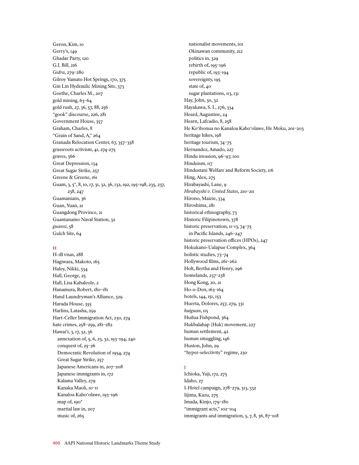Geron, Kim, 10 Gerry's, 149 Ghadar Party, 120 G.I. Bill, 216 *Gidra*, 279–280 Gilroy Yamato Hot Springs, 170, 375 Gin Lin Hydraulic Mining Site, 373 Goethe, Charles M., 207 gold mining, 63–64 gold rush, 27, 36, 57, 88, 256 "gook" discourse, 226, 281 Government House, 357 Graham, Charles, 8 "Grain of Sand, A," 264 Granada Relocation Center, 67, 357–358 grassroots activism, 41, 274-275 graves, 366 Great Depression, 134 Great Sugar Strike, 257 Greene & Greene, 161 Guam, 3, 5\*, 8, 10, 17, 31, 32, 36, 132, 192, 195–198, 235, 237, 238, 247 Guamanians, 36 Guan, Yuan, 21 Guangdong Province, 21 Guantanamo Naval Station, 32 *guanxi*, 58 Gulch Site, 64

## **H**

H-1B visas, 288 Hagiwara, Makoto, 165 Haley, Nikki, 334 Hall, George, 25 Hall, Lisa Kahaleole, 2 Hanamura, Robert, 180–181 Hand Laundryman's Alliance, 329 Harada House, 355 Harlins, Latasha, 259 Hart-Celler Immigration Act, 230, 274 hate crimes, 258–259, 281–282 Hawai'i, 3, 17, 32, 36 annexation of, 5, 6, 23, 32, 193–194, 240 conquest of, 25–26 Democratic Revolution of 1954, 274 Great Sugar Strike, 257 Japanese Americans in, 207–208 Japanese immigrants in, 172 Kalama Valley, 279 Kanaka Maoli, 10-11 Kanaloa Kaho'olawe, 193–196 map of, 190\* martial law in, 207 music of, 265

nationalist movements, 101 Okinawan community, 212 politics in, 329 rebirth of, 195–196 republic of, 193–194 sovereignty, 195 state of, 40 sugar plantations, 113, 131 Hay, John, 30, 32 Hayakawa, S. I., 276, 334 Heard, Augustine, 24 Hearn, Lafcadio, 8, 258 He Ko'ihonua no Kanaloa Kaho'olawe, He Moku, 201–203 heritage hikes, 198 heritage tourism, 74–75 Hernandez, Amado, 227 Hindu invasion, 96–97, 100 Hinduism, 117 Hindustani Welfare and Reform Society, 116 Hing, Alex, 275 Hirabayashi, Lane, 9 *Hirabayshi v. United States*, 210–211 Hirono, Maizie, 334 Hiroshima, 281 historical ethnography, 73 Historic Filipinotown, 378 historic preservation, II-13, 74-75 in Pacific Islands, 246–247 historic preservation offices (HPOs), 247 Hokukano-Ualapue Complex, 364 holistic studies, 73–74 Hollywood films, 261–262 Holt, Bertha and Henry, 296 homelands, 237–238 Hong Kong, 20, 21 Ho-o-Den, 163-164 hotels, 144, 151, 153 Huerta, Dolores, 257, 279, 331 *huiguan*, 115 Huilua Fishpond, 364 Hukbalahap (Huk) movement, 227 human settlement, 42 human smuggling, 146 Huston, John, 29 "hyper-selectivity" regime, 230

## **I**

Ichioka, Yuji, 172, 275 Idaho, 27 I-Hotel campaign, 278–279, 313, 332 Iijima, Kazu, 275 Imada, Kinjo, 179–180 "immigrant acts," 102–104 immigrants and immigration, 5, 7, 8, 36, 87–108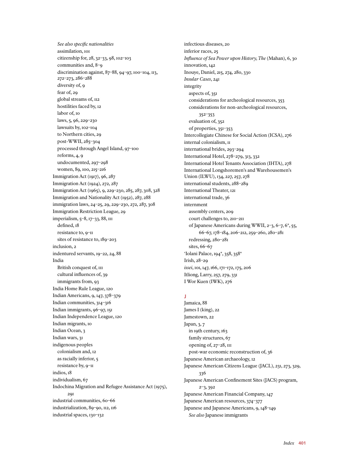*See also specific nationalities* assimilation, 101 citizenship for, 28, 32–33, 98, 102–103 communities and, 8–9 discrimination against, 87–88, 94–97, 100–104, 113, 272–273, 286–288 diversity of, 9 fear of, 29 global streams of, 112 hostilities faced by, 12 labor of, 10 laws, 5, 96, 229–230 lawsuits by, 102–104 to Northern cities, 29 post-WWII, 285–304 processed through Angel Island, 97–100 reforms, 4, 9 undocumented, 297–298 women, 89, 100, 215–216 Immigration Act (1917), 96, 287 Immigration Act (1924), 272, 287 Immigration Act (1965), 9, 229–230, 285, 287, 308, 328 Immigration and Nationality Act (1952), 287, 288 immigration laws, 24–25, 29, 229–230, 272, 287, 308 Immigration Restriction League, 29 imperialism, 5–8, 17–33, 88, 111 defined, 18 resistance to, 9–11 sites of resistance to, 189–203 inclusion, 2 indentured servants, 19–22, 24, 88 India British conquest of,  $III$ cultural influences of, 39 immigrants from, 93 India Home Rule League, 120 Indian Americans, 9, 147, 378–379 Indian communities, 314–316 Indian immigrants, 96–97, 151 Indian Independence League, 120 Indian migrants, 10 Indian Ocean, 3 Indian wars, 31 indigenous peoples colonialism and, 12 as racially inferior, 5 resistance by, 9–11 indios, 18 individualism, 67 Indochina Migration and Refugee Assistance Act (1975),  $201$ industrial communities, 60–66 industrialization, 89–90, 112, 116 industrial spaces, 130–132

infectious diseases, 20 inferior races, 25 *Influence of Sea Power upon History, The* (Mahan), 6, 30 innovation, 142 Inouye, Daniel, 215, 274, 280, 330 *Insular Cases*, 241 integrity aspects of, 351 considerations for archeological resources, 353 considerations for non-archeological resources, 352–353 evaluation of, 352 of properties, 351–353 Intercollegiate Chinese for Social Action (ICSA), 276 internal colonialism, 11 international brides, 293–294 International Hotel, 278–279, 313, 332 International Hotel Tenants Association (IHTA), 278 International Longshoremen's and Warehousemen's Union (ILWU), 134, 227, 257, 278 international students, 288–289 International Theater, 121 international trade, 36 internment assembly centers, 209 court challenges to, 210–211 of Japanese Americans during WWII, 2–3, 6–7, 6\*, 55, 66–67, 178–184, 206–212, 259–260, 280–281 redressing, 280–281 sites, 66–67 'Iolani Palace, 194\*, 358, 358\* Irish, 28–29 *issei*, 101, 147, 166, 171–172, 175, 206 Itliong, Larry, 257, 279, 331 I Wor Kuen (IWK), 276

# **J**

Jamaica, 88 James I (king), 22 Jamestown, 22 Japan, 3, 7 in 19th century, 163 family structures, 67 opening of, 27–28, 111 post-war economic reconstruction of, 36 Japanese American archaeology, 12 Japanese American Citizens League (JACL), 231, 273, 329, 336 Japanese American Confinement Sites (JACS) program, 2–3, 392 Japanese American Financial Company, 147 Japanese American resources, 374–377 Japanese and Japanese Americans, 9, 148–149 *See also* Japanese immigrants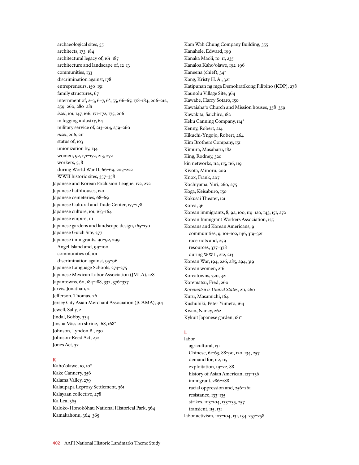archaeological sites, 55 architects, 173–184 architectural legacy of, 161–187 architecture and landscape of, 12–13 communities, 133 discrimination against, 178 entrepreneurs, 150-151 family structures, 67 internment of, 2–3, 6–7, 6\*, 55, 66–67, 178–184, 206–212, 259–260, 280–281 *issei*, 101, 147, 166, 171–172, 175, 206 in logging industry, 64 military service of, 213–214, 259–260 *nisei*, 206, 211 status of, 103 unionization by, 134 women, 92, 171–172, 213, 272 workers, 5, 8 during World War II, 66–69, 205–222 WWII historic sites, 357–358 Japanese and Korean Exclusion League, 172, 272 Japanese bathhouses, 120 Japanese cemeteries, 68–69 Japanese Cultural and Trade Center, 177–178 Japanese culture, 101, 163-164 Japanese empire,  $III$ Japanese gardens and landscape design, 165-170 Japanese Gulch Site, 377 Japanese immigrants, 90–92, 299 Angel Island and, 99–100 communities of, 101 discrimination against, 95–96 Japanese Language Schools, 374–375 Japanese Mexican Labor Association (JMLA), 128 Japantowns, 60, 184–188, 332, 376–377 Jarvis, Jonathan, 2 Jefferson, Thomas, 26 Jersey City Asian Merchant Association (JCAMA), 314 Jewell, Sally, 2 Jindal, Bobby, 334 Jinsha Mission shrine, 168, 168\* Johnson, Lyndon B., 230 Johnson-Reed Act, 272 Jones Act, 32

# **K**

Kaho'olawe, 10, 10\* Kake Cannery, 356 Kalama Valley, 279 Kalaupapa Leprosy Settlement, 361 Kalayaan collective, 278 Ka Lea, 365 Kaloko-Honokôhau National Historical Park, 364 Kamakahonu, 364–365

Kam Wah Chung Company Building, 355 Kanahele, Edward, 199 Kânaka Maoli, 10–11, 235 Kanaloa Kaho'olawe, 192–196 Kaneena (chief), 34\* Kang, Kristy H. A., 321 Katipunan ng mga Demokratikong Pilipino (KDP), 278 Kaunolu Village Site, 364 Kawabe, Harry Sotaro, 150 Kawaiaha'o Church and Mission houses, 358–359 Kawakita, Saichiro, 182 Keku Canning Company,  $II4^*$ Kenny, Robert, 214 Kikuchi-Yngojo, Robert, 264 Kim Brothers Company, 151 Kimura, Masaharu, 182 King, Rodney, 320 kin networks, 112, 115, 116, 119 Kiyota, Minoru, 209 Knox, Frank, 207 Kochiyama, Yuri, 260, 275 Koga, Keisaburo, 150 Kokusai Theater, 121 Korea, 36 Korean immigrants, 8, 92, 100, 119–120, 143, 151, 272 Korean Immigrant Workers Association, 135 Koreans and Korean Americans, 9 communities, 9, 101–102, 146, 319–321 race riots and, 259 resources, 377–378 during WWII, 212, 213 Korean War, 194, 226, 285, 294, 319 Korean women, 216 Koreatowns, 320, 321 Korematsu, Fred, 260 *Korematsu v. United States*, 211, 260 Kuru, Masamichi, 164 Kushubiki, Peter Yumeto, 164 Kwan, Nancy, 262 Kykuit Japanese garden, 181\*

# **L**

labor agricultural, 131 Chinese, 61–63, 88–90, 120, 134, 257 demand for, 112, 115 exploitation, 19–22, 88 history of Asian American, 127–136 immigrant, 286–288 racial oppression and, 256–261 resistance, 133–135 strikes, 103–104, 133–135, 257 transient, 115, 131 labor activism, 103–104, 131, 134, 257–258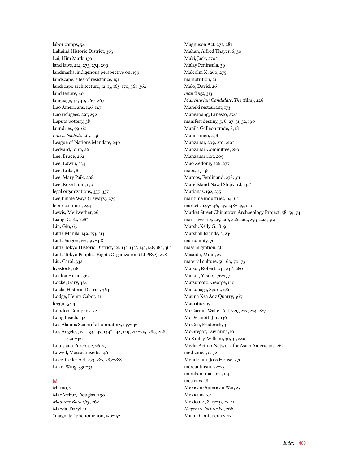labor camps, 54 Lâhainâ Historic District, 363 Lai, Him Mark, 150 land laws, 214, 273, 274, 299 landmarks, indigenous perspective on, 199 landscape, sites of resistance, 191 landscape architecture, 12–13, 165–170, 361–362 land tenure, 40 language, 38, 40, 266–267 Lao Americans, 146–147 Lao refugees, 291, 292 Laputa pottery, 38 laundries, 59–60 *Lau v. Nichols*, 267, 336 League of Nations Mandate, 240 Ledyard, John, 26 Lee, Bruce, 262 Lee, Edwin, 334 Lee, Erika, 8 Lee, Mary Paik, 208 Lee, Rose Hum, 150 legal organizations, 335–337 Legitimate Ways (Leways), 275 leper colonies, 244 Lewis, Meriwether, 26 Liang, C. K., 228\* Lin, Gin, 63 Little Manila, 149, 153, 313 Little Saigon, 133, 317–318 Little Tokyo Historic District, 121, 133, 133\*, 143, 148, 185, 363 Little Tokyo People's Rights Organization (LTPRO), 278 Liu, Carol, 332 livestock, 118 Loaloa Heiau, 365 Locke, Gary, 334 Locke Historic District, 363 Lodge, Henry Cabot, 31 logging, 64 London Company, 22 Long Beach, 132 Los Alamos Scientific Laboratory, 135–136 Los Angeles, 121, 133, 143, 144\*, 148, 149, 214–215, 289, 298, 320–321 Louisiana Purchase, 26, 27 Lowell, Massachusetts, 146 Luce-Celler Act, 273, 287, 287–288 Luke, Wing, 330–331

# **M**

Macao, 21 MacArthur, Douglas, 290 *Madame Butterfly*, 262 Maeda, Daryl, 11 "magnate" phenomenon, 150–152 Magnuson Act, 273, 287 Mahan, Alfred Thayer, 6, 30 Maki, Jack, 270\* Malay Peninsula, 39 Malcolm X, 260, 275 malnutrition, 21 Malo, David, 26 *man@ngs*, 313 *Manchurian Candidate, The* (film), 226 Maneki restaurant, 173 Mangaoang, Ernesto, 274\* manifest destiny, 5, 6, 27–31, 32, 190 Manila Galleon trade, 8, 18 Manila men, 258 Manzanar, 209, 210, 210\* Manzanar Committee, 280 Manzanar riot, 209 Mao Zedong, 226, 277 maps, 37–38 Marcos, Ferdinand, 278, 311 Mare Island Naval Shipyard, 132\* Marianas, 192, 235 maritime industries, 64–65 markets, 145–146, 147, 148–149, 150 Market Street Chinatown Archaeology Project, 58–59, 74 marriages, 114, 215, 216, 226, 262, 293–294, 319 Marsh, Kelly G., 8–9 Marshall Islands, 3, 236 masculinity, 70 mass migration, 36 Masuda, Minn, 275 material culture, 56–60, 70–73 Matsui, Robert, 231, 231\*, 280 Matsui, Yasuo, 176–177 Matsumoto, George, 180 Matsunaga, Spark, 280 Mauna Kea Adz Quarry, 365 Mauritius, 19 McCarran-Walter Act, 229, 273, 274, 287 McDermott, Jim, 136 McGee, Frederick, 31 McGregor, Davianna, 10 McKinley, William, 30, 31, 240 Media Action Network for Asian Americans, 264 medicine, 70, 72 Mendocino Joss House, 370 mercantilism, 22–23 merchant marines, 114 mestizos, 18 Mexican-American War, 27 Mexicans, 32 Mexico, 4, 8, 17–19, 27, 40 *Meyer vs. Nebraska*, 266 Miami Confederacy, 23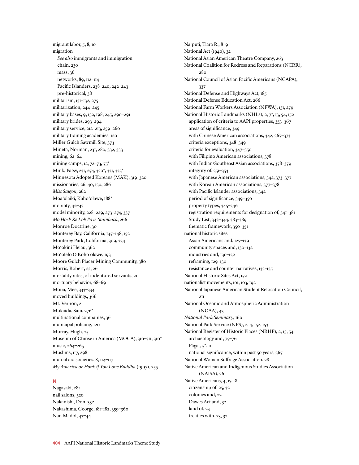migrant labor, 5, 8, 10 migration *See also* immigrants and immigration chain, 230 mass, 36 networks, 89, 112–114 Pacific Islanders, 238–240, 242–243 pre-historical, 38 militarism, 131–132, 275 militarization, 244–245 military bases, 9, 132, 198, 245, 290–291 military brides, 293–294 military service, 212–213, 259–260 military training academies, 120 Miller Gulch Sawmill Site, 373 Mineta, Norman, 231, 280, 332, 333 mining, 62–64 mining camps, 12, 72–73, 75\* Mink, Patsy, 231, 274, 330\*, 331, 333\* Minnesota Adopted Koreans (MAK), 319–320 missionaries, 26, 40, 130, 286 *Miss Saigon*, 262 Moa'ulaiki, Kaho'olawe, 188\* mobility, 42–43 model minority, 228–229, 273–274, 337 *Mo Hock Ke Lok Po v. Stainback*, 266 Monroe Doctrine, 30 Monterey Bay, California, 147–148, 152 Monterey Park, California, 309, 334 Mo'okini Heiau, 362 Mo'olelo O Koho'olawe, 193 Moore Gulch Placer Mining Community, 380 Morris, Robert, 23, 26 mortality rates, of indentured servants, 21 mortuary behavior, 68–69 Moua, Mee, 333–334 moved buildings, 366 Mt. Vernon, 2 Mukaida, Sam, 276\* multinational companies, 36 municipal policing, 120 Murray, Hugh, 25 Museum of Chinse in America (MOCA), 310–311, 310\* music, 264–265 Muslims, 117, 298 mutual aid societies, 8, 114–117 *My America or Honk if You Love Buddha* (1997), 255

## **N**

Nagasaki, 281 nail salons, 320 Nakanishi, Don, 332 Nakashima, George, 181–182, 359–360 Nan Madol, 43–44

Na`puti, Tiara R., 8–9 National Act (1940), 32 National Asian American Theatre Company, 263 National Coalition for Redress and Reparations (NCRR), 280 National Council of Asian Pacific Americans (NCAPA), 337 National Defense and Highways Act, 185 National Defense Education Act, 266 National Farm Workers Association (NFWA), 131, 279 National Historic Landmarks (NHLs), 2, 7\*, 13, 54, 152 application of criteria to AAPI properties, 353–367 areas of significance, 349 with Chinese American associations, 342, 367–373 criteria exceptions, 348–349 criteria for evaluation, 347–350 with Filipino American associations, 378 with Indian/Southeast Asian associations, 378–379 integrity of, 351–353 with Japanese American associations, 342, 373–377 with Korean American associations, 377–378 with Pacific Islander associations, 342 period of significance, 349–350 property types, 345–346 registration requirements for designation of, 341–381 Study List, 343–344, 383–389 thematic framework, 350–351 national historic sites Asian Americans and, 127–139 community spaces and, 130–132 industries and, 130–132 reframing, 129–130 resistance and counter narratives, 133–135 National Historic Sites Act, 152 nationalist movements, 101, 103, 192 National Japanese American Student Relocation Council, 211 National Oceanic and Atmospheric Administration (NOAA), 43 *National Park Seminary*, 160 National Park Service (NPS), 2, 4, 152, 153 National Register of Historic Places (NRHP), 2, 13, 54 archaeology and, 75–76 Pågat, 5\*, 10 national significance, within past 50 years, 367 National Woman Suffrage Association, 28 Native American and Indigenous Studies Association (NAISA), 36 Native Americans, 4, 17, 18 citizenship of, 25, 32 colonies and, 22 Dawes Act and, 32 land of, 23 treaties with, 23, 32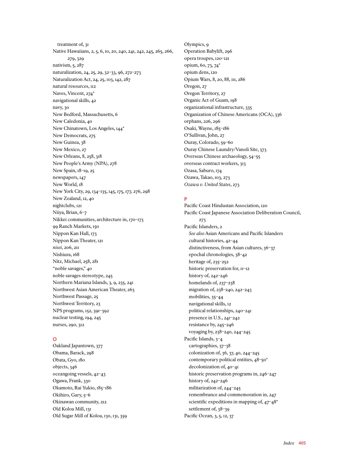treatment of, 31 Native Hawaiians, 2, 5, 6, 10, 20, 240, 241, 242, 245, 265, 266, 279, 329 nativism, 5, 287 naturalization, 24, 25, 29, 32–33, 96, 272–273 Naturalization Act, 24, 25, 103, 142, 287 natural resources, 112 Naves, Vincent, 274\* navigational skills, 42 navy, 30 New Bedford, Massachusetts, 6 New Caledonia, 40 New Chinatown, Los Angeles, 144\* New Democrats, 275 New Guinea, 38 New Mexico, 27 New Orleans, 8, 258, 318 New People's Army (NPA), 278 New Spain, 18–19, 25 newspapers, 147 New World, 18 New York City, 29, 134–135, 145, 175, 177, 276, 298 New Zealand, 12, 40 nightclubs, 121 Niiya, Brian, 6–7 Nikkei communities, architecture in, 170–173 99 Ranch Markets, 150 Nippon Kan Hall, 173 Nippon Kan Theater, 121 *nisei*, 206, 211 Nishiura, 168 Nitz, Michael, 258, 281 "noble savages," 40 noble savages stereotype, 245 Northern Mariana Islands, 3, 9, 235, 241 Northwest Asian American Theater, 263 Northwest Passage, 25 Northwest Territory, 23 NPS programs, 152, 391–392 nuclear testing, 194, 245 nurses, 290, 312

# **O**

Oakland Japantown, 377 Obama, Barack, 298 Obata, Gyo, 180 objects, 346 oceangoing vessels, 42–43 Ogawa, Frank, 330 Okamoto, Rai Yukio, 185–186 Okihiro, Gary, 5–6 Okinawan community, 212 Old Koloa Mill, 131 Old Sugar Mill of Koloa, 130, 131, 359 Olympics, 9 Operation Babylift, 296 opera troupes, 120–121 opium, 60, 73, 74\* opium dens, 120 Opium Wars, 8, 20, 88, 111, 286 Oregon, 27 Oregon Territory, 27 Organic Act of Guam, 198 organizational infrastructure, 335 Organization of Chinese Americans (OCA), 336 orphans, 226, 296 Osaki, Wayne, 185–186 O'Sullivan, John, 27 Ouray, Colorado, 59–60 Ouray Chinese Laundry/Vanoli Site, 373 Overseas Chinese archaeology, 54–55 overseas contract workers, 313 Ozasa, Saburo, 174 Ozawa, Takao, 103, 273 *Ozawa v. United States*, 273

# **P**

Pacific Coast Hindustan Association, 120 Pacific Coast Japanese Association Deliberation Council, 273 Pacific Islanders, 2 *See also* Asian Americans and Pacific Islanders cultural histories, 42–44 distinctiveness, from Asian cultures, 36–37 epochal chronologies, 38–42 heritage of, 235–252 historic preservation for, 11–12 history of, 242–246 homelands of, 237–238 migration of, 238–240, 242–243 mobilities, 35–44 navigational skills, 12 political relationships, 240–241 presence in U.S., 241–242 resistance by, 245–246 voyaging by, 238–240, 244–245 Pacific Islands, 3-4 cartographies, 37–38 colonization of, 36, 37, 40, 244–245 contemporary political entities, 48–50\* decolonization of, 40–41 historic preservation programs in, 246–247 history of, 242–246 militarization of, 244–245 remembrance and commemoration in, 247 scientific expeditions in mapping of, 47–48\* settlement of, 38–39 Pacific Ocean, 3, 5, 12, 37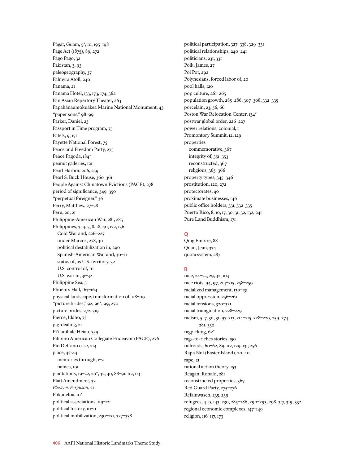Pâgat, Guam, 5\*, 10, 195–198 Page Act (1875), 89, 272 Pago Pago, 32 Pakistan, 3, 93 paleogeography, 37 Palmyra Atoll, 240 Panama, 21 Panama Hotel, 133, 173, 174, 362 Pan Asian Repertory Theater, 263 Papahãnaumokuãkea Marine National Monument, 43 "paper sons," 98–99 Parker, Daniel, 23 Passport in Time program, 75 Patels, 9, 151 Payette National Forest, 75 Peace and Freedom Party, 275 Peace Pagoda, 184\* peanut galleries, 121 Pearl Harbor, 206, 259 Pearl S. Buck House, 360-361 People Against Chinatown Evictions (PACE), 278 period of significance, 349–350 "perpetual foreigner," 36 Perry, Matthew, 27–28 Peru, 20, 21 Philippine-American War, 281, 285 Philippines, 3, 4, 5, 8, 18, 40, 132, 136 Cold War and, 226–227 under Marcos, 278, 311 political destabilization in, 290 Spanish-American War and, 30–31 status of, as U.S. territory, 32 U.S. control of,  $III$ U.S. war in, 31–32 Philippine Sea, 3 Phoenix Hall, 163-164 physical landscape, transformation of, 118–119 "picture brides," 92, 96\*, 99, 272 picture brides, 272, 319 Pierce, Idaho, 73 pig-dealing, 21 Pi'ilanihale Heiau, 359 Pilipino American Collegiate Endeavor (PACE), 276 Pio DeCano case, 214 place, 43-44 memories through, 1–2 names, 191 plantations, 19–22, 20\*, 32, 40, 88–91, 112, 113 Platt Amendment, 32 *Plessy v. Ferguson*, 31 Pokaneloa, 10\* political associations, 119–121 political history, 10–11 political mobilization, 230–231, 327–338

political participation, 327–338, 329–331 political relationships, 240–241 politicians, 231, 331 Polk, James, 27 Pol Pot, 292 Polynesians, forced labor of, 20 pool halls, 120 pop culture, 261–265 population growth, 285–286, 307–308, 332–335 porcelain, 23, 56, 66 Poston War Relocation Center, 134\* postwar global order, 226–227 power relations, colonial, 1 Promontory Summit, 12, 129 properties commemorative, 367 integrity of, 351–353 reconstructed, 367 religious, 365–366 property types, 345–346 prostitution, 120, 272 protectorates, 40 proximate businesses, 146 public office holders, 331, 332–335 Puerto Rico, 8, 10, 17, 30, 31, 32, 132, 241 Pure Land Buddhism, 171

# **Q**

Qing Empire, 88 Quan, Jean, 334 quota system, 287

# **R**

race, 24–25, 29, 32, 103 race riots, 94, 97, 214–215, 258–259 racialized management, 130–131 racial oppression, 256–261 racial tensions, 320–321 racial triangulation, 228–229 racism, 5, 7, 30, 31, 97, 213, 214–215, 228–229, 259, 274, 281, 332 ragpicking, 62\* rags-to-riches stories, 150 railroads, 60–62, 89, 112, 129, 131, 256 Rapa Nui (Easter Island), 20, 40 rape, 21 rational action theory, 153 Reagan, Ronald, 281 reconstructed properties, 367 Red Guard Party, 275–276 Refaluwasch, 235, 239 refugees, 4, 9, 143, 230, 285–286, 290–293, 298, 317, 319, 332 regional economic complexes, 147–149 religion, 116–117, 173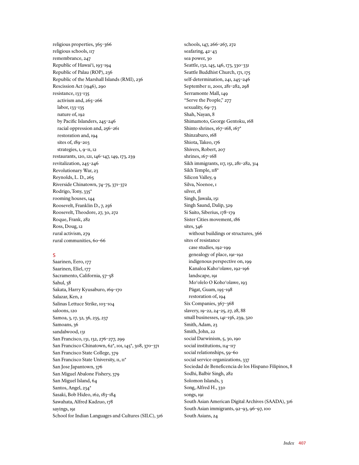religious properties, 365–366 religious schools, 117 remembrance, 247 Republic of Hawai'i, 193–194 Republic of Palau (ROP), 236 Republic of the Marshall Islands (RMI), 236 Rescission Act (1946), 290 resistance, 133–135 activism and, 265–266 labor, 133–135 nature of, 192 by Pacific Islanders, 245–246 racial oppression and, 256–261 restoration and, 194 sites of, 189–203 strategies, 1, 9–11, 12 restaurants, 120, 121, 146–147, 149, 173, 239 revitalization, 245–246 Revolutionary War, 23 Reynolds, L. D., 265 Riverside Chinatown, 74–75, 371–372 Rodrigo, Tony, 335\* rooming houses, 144 Roosevelt, Franklin D., 7, 256 Roosevelt, Theodore, 27, 30, 272 Roque, Frank, 282 Ross, Doug, 12 rural activism, 279 rural communities, 60–66

# **S**

Saarinen, Eero, 177 Saarinen, Eliel, 177 Sacramento, California, 57–58 Sahul, 38 Sakata, Harry Kyusaburo, 169–170 Salazar, Ken, 2 Salinas Lettuce Strike, 103–104 saloons, 120 Samoa, 3, 17, 32, 36, 235, 237 Samoans, 36 sandalwood, 131 San Francisco, 131, 132, 276–277, 299 San Francisco Chinatown, 62\*, 101, 145\*, 308, 370–371 San Francisco State College, 379 San Francisco State University,  $II, II^*$ San Jose Japantown, 376 San Miguel Abalone Fishery, 379 San Miguel Island, 64 Santos, Angel, 234\* Sasaki, Bob Hideo, 162, 183–184 Sawahata, Alfred Kadzuo, 178 sayings, 191 School for Indian Languages and Cultures (SILC), 316

schools, 147, 266–267, 272 seafaring, 42–43 sea power, 30 Seattle, 132, 145, 146, 173, 330–331 Seattle Buddhist Church, 171, 175 self-determination, 241, 245–246 September 11, 2001, 281–282, 298 Serramonte Mall, 149 "Serve the People," 277 sexuality, 69-73 Shah, Nayan, 8 Shimamoto, George Gentoku, 168 Shinto shrines, 167-168, 167\* Shinzaburo, 168 Shiota, Takeo, 176 Shivers, Robert, 207 shrines, 167-168 Sikh immigrants, 117, 151, 281–282, 314 Sikh Temple,  $118*$ Silicon Valley, 9 Silva, Noenoe, 1 silver, 18 Singh, Jawala, 151 Singh Saund, Dalip, 329 Si Saito, Siberius, 178–179 Sister Cities movement, 186 sites, 346 without buildings or structures, 366 sites of resistance case studies, 192–199 genealogy of place, 191–192 indigenous perspective on, 199 Kanaloa Kaho'olawe, 192–196 landscape, 191 Mo'olelo O Koho'olawe, 193 Pâgat, Guam, 195–198 restoration of, 194 Six Companies, 367–368 slavery, 19–22, 24–25, 27, 28, 88 small businesses, 141–156, 239, 320 Smith, Adam, 23 Smith, John, 22 social Darwinism, 5, 30, 190 social institutions,  $II4$ <sup>-117</sup> social relationships, 59–60 social service organizations, 337 Sociedad de Beneficencia de los Hispano Filipinos, 8 Sodhi, Balbir Singh, 282 Solomon Islands, 3 Song, Alfred H., 330 songs, 191 South Asian American Digital Archives (SAADA), 316 South Asian immigrants, 92–93, 96–97, 100 South Asians, 24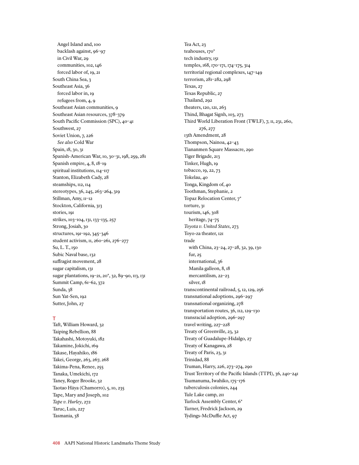Angel Island and, 100 backlash against, 96–97 in Civil War, 29 communities, 102, 146 forced labor of, 19, 21 South China Sea, 3 Southeast Asia, 36 forced labor in, 19 refugees from, 4, 9 Southeast Asian communities, 9 Southeast Asian resources, 378–379 South Pacific Commission (SPC), 40–41 Southwest, 27 Soviet Union, 7, 226 *See also* Cold War Spain, 18, 30, 31 Spanish-American War, 10, 30–31, 198, 259, 281 Spanish empire, 4, 8, 18–19 spiritual institutions,  $\frac{1}{4}$ –117 Stanton, Elizabeth Cady, 28 steamships, 112, 114 stereotypes, 36, 245, 263–264, 319 Stillman, Amy, 11–12 Stockton, California, 313 stories, 191 strikes, 103–104, 131, 133–135, 257 Strong, Josiah, 30 structures, 191–192, 345–346 student activism, 11, 260–261, 276–277 Su, L. T., 150 Subic Naval base, 132 suffragist movement, 28 sugar capitalism, 131 sugar plantations, 19–21, 20\*, 32, 89–90, 113, 131 Summit Camp, 61–62, 372 Sunda, 38 Sun Yat-Sen, 192 Sutter, John, 27

## **T**

Taft, William Howard, 32 Taiping Rebellion, 88 Takahashi, Motoyuki, 182 Takamine, Jokichi, 169 Takase, Hayahiko, 186 Takei, George, 263, 267, 268 Takima-Pena, Renee, 255 Tanaka, Umekichi, 172 Taney, Roger Brooke, 32 Taotao Håya (Chamorro), 5, 10, 235 Tape, Mary and Joseph, 102 *Tape v. Hurley*, 272 Taruc, Luis, 227 Tasmania, 38

Tea Act, 23 teahouses, 170\* tech industry, 151 temples, 168, 170–171, 174–175, 314 territorial regional complexes, 147–149 terrorism, 281–282, 298 Texas, 27 Texas Republic, 27 Thailand, 292 theaters, 120, 121, 263 Thind, Bhagat Signh, 103, 273 Third World Liberation Front (TWLF), 7, 11, 231, 260, 276, 277 13th Amendment, 28 Thompson, Nainoa, 42–43 Tiananmen Square Massacre, 290 Tiger Brigade, 213 Tinker, Hugh, 19 tobacco, 19, 22, 73 Tokelau, 40 Tonga, Kingdom of, 40 Toothman, Stephanie, 2 Topaz Relocation Center, 7\* torture, 31 tourism, 146, 308 heritage, 74–75 *Toyota v. United States*, 273 Toyo-za theater, 121 trade with China, 23–24, 27–28, 32, 39, 130 fur, 25 international, 36 Manila galleon, 8, 18 mercantilism, 22–23 silver, 18 transcontinental railroad, 5, 12, 129, 256 transnational adoptions, 296–297 transnational organizing, 278 transportation routes, 36, 112, 129–130 transracial adoption, 296–297 travel writing, 227–228 Treaty of Greenville, 23, 32 Treaty of Guadalupe-Hidalgo, 27 Treaty of Kanagawa, 28 Treaty of Paris, 23, 31 Trinidad, 88 Truman, Harry, 226, 273–274, 290 Trust Territory of the Pacific Islands (TTPI), 36, 240–241 Tsumanuma, Iwahiko, 175–176 tuberculosis colonies, 244 Tule Lake camp, 211 Turlock Assembly Center, 6\* Turner, Fredrick Jackson, 29 Tydings-McDuffie Act, 97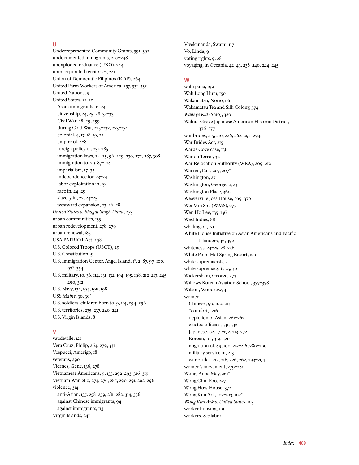## **U**

Underrepresented Community Grants, 391–392 undocumented immigrants, 297–298 unexploded ordnance (UXO), 244 unincorporated territories, 241 Union of Democratic Filipinos (KDP), 264 United Farm Workers of America, 257, 331–332 United Nations, 9 United States, 21–22 Asian immigrants to, 24 citizenship, 24, 25, 28, 32–33 Civil War, 28–29, 259 during Cold War, 225–232, 273–274 colonial, 4, 17, 18–19, 22 empire of, 4–8 foreign policy of, 231, 285 immigration laws, 24–25, 96, 229–230, 272, 287, 308 immigration to, 29, 87–108 imperialism, 17–33 independence for, 23–24 labor exploitation in, 19 race in, 24–25 slavery in, 22, 24–25 westward expansion, 23, 26–28 *United States v. Bhagat Singh Thind*, 273 urban communities, 133 urban redevelopment, 278–279 urban renewal, 185 USA PATRIOT Act, 298 U.S. Colored Troops (USCT), 29 U.S. Constitution, 5 U.S. Immigration Center, Angel Island, 1\*, 2, 87, 97–100, 97\*, 354 U.S. military, 10, 36, 114, 131–132, 194–195, 198, 212–213, 245, 290, 312 U.S. Navy, 132, 194, 196, 198 USS *Maine*, 30, 30\* U.S. soldiers, children born to, 9, 114, 294–296 U.S. territories, 235–237, 240–241 U.S. Virgin Islands, 8

#### **V**

vaudeville, 121 Vera Cruz, Philip, 264, 279, 331 Vespucci, Amerigo, 18 veterans, 290 Viernes, Gene, 136, 278 Vietnamese Americans, 9, 133, 292–293, 316–319 Vietnam War, 260, 274, 276, 285, 290–291, 292, 296 violence, 314 anti-Asian, 135, 258–259, 281–282, 314, 336 against Chinese immigrants, 94 against immigrants, 113 Virgin Islands, 241

Vivekananda, Swami, 117 Vo, Linda, 9 voting rights, 9, 28 voyaging, in Oceania, 42–43, 238–240, 244–245

# **W**

wahi pana, 199 Wah Long Hum, 150 Wakamatsu, Norio, 181 Wakamatsu Tea and Silk Colony, 374 *Walleye Kid* (Shio), 320 Walnut Grove Japanese American Historic District, 376–377 war brides, 215, 216, 226, 262, 293–294 War Brides Act, 215 Wards Cove case, 136 War on Terror, 32 War Relocation Authority (WRA), 209–212 Warren, Earl, 207, 207\* Washington, 27 Washington, George, 2, 23 Washington Place, 360 Weaverville Joss House, 369–370 Wei Min She (WMS), 277 Wen Ho Lee, 135–136 West Indies, 88 whaling oil, 131 White House Initiative on Asian Americans and Pacific Islanders, 36, 392 whiteness, 24–25, 28, 256 White Point Hot Spring Resort, 120 white supremacists, 5 white supremacy, 6, 25, 30 Wickersham, George, 273 Willows Korean Aviation School, 377–378 Wilson, Woodrow, 4 women Chinese, 90, 100, 213 "comfort," 216 depiction of Asian, 261–262 elected officials, 331, 332 Japanese, 92, 171–172, 213, 272 Korean, 101, 319, 320 migration of, 89, 100, 215–216, 289–290 military service of, 213 war brides, 215, 216, 226, 262, 293–294 women's movement, 279–280 Wong, Anna May, 261\* Wong Chin Foo, 257 Wong How House, 372 Wong Kim Ark, 102–103, 102\* *Wong Kim Ark v. United States*, 103 worker housing, 119 workers. *See* labor